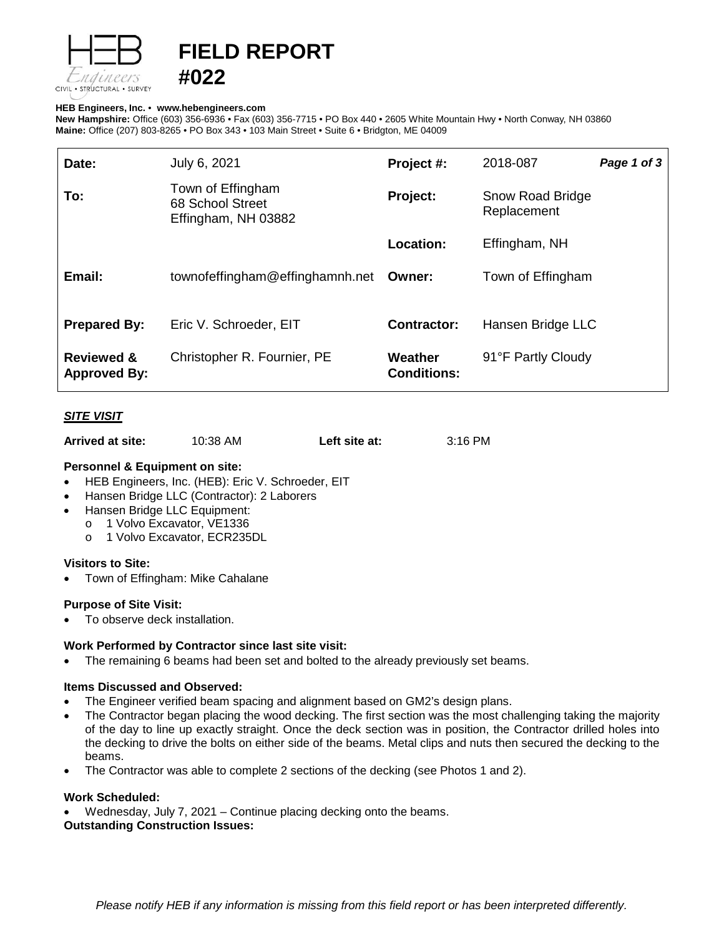

# **FIELD REPORT**

### **HEB Engineers, Inc.** • **[www.hebengineer](http://www.hebengineers.com/)s.com**

**#022**

**New Hampshire:** Office (603) 356-6936 • Fax (603) 356-7715 • PO Box 440 • 2605 White Mountain Hwy • North Conway, NH 03860 **Maine:** Office (207) 803-8265 • PO Box 343 • 103 Main Street • Suite 6 • Bridgton, ME 04009

| Date:                                        | July 6, 2021                                                 | Project #:                    | 2018-087                               | Page 1 of 3 |
|----------------------------------------------|--------------------------------------------------------------|-------------------------------|----------------------------------------|-------------|
| To:                                          | Town of Effingham<br>68 School Street<br>Effingham, NH 03882 | Project:                      | <b>Snow Road Bridge</b><br>Replacement |             |
|                                              |                                                              | Location:                     | Effingham, NH                          |             |
| Email:                                       | townofeffingham@effinghamnh.net                              | Owner:                        | Town of Effingham                      |             |
| <b>Prepared By:</b>                          | Eric V. Schroeder, EIT                                       | Contractor:                   | Hansen Bridge LLC                      |             |
| <b>Reviewed &amp;</b><br><b>Approved By:</b> | Christopher R. Fournier, PE                                  | Weather<br><b>Conditions:</b> | 91°F Partly Cloudy                     |             |

# *SITE VISIT*

| Arrived at site: | 10:38 AM | Left site at: | 3:16 PM |
|------------------|----------|---------------|---------|
|------------------|----------|---------------|---------|

### **Personnel & Equipment on site:**

- HEB Engineers, Inc. (HEB): Eric V. Schroeder, EIT
- Hansen Bridge LLC (Contractor): 2 Laborers
- Hansen Bridge LLC Equipment:
- o 1 Volvo Excavator, VE1336
	- o 1 Volvo Excavator, ECR235DL

# **Visitors to Site:**

• Town of Effingham: Mike Cahalane

#### **Purpose of Site Visit:**

To observe deck installation.

# **Work Performed by Contractor since last site visit:**

The remaining 6 beams had been set and bolted to the already previously set beams.

#### **Items Discussed and Observed:**

- The Engineer verified beam spacing and alignment based on GM2's design plans.
- The Contractor began placing the wood decking. The first section was the most challenging taking the majority of the day to line up exactly straight. Once the deck section was in position, the Contractor drilled holes into the decking to drive the bolts on either side of the beams. Metal clips and nuts then secured the decking to the beams.
- The Contractor was able to complete 2 sections of the decking (see Photos 1 and 2).

### **Work Scheduled:**

• Wednesday, July 7, 2021 – Continue placing decking onto the beams. **Outstanding Construction Issues:**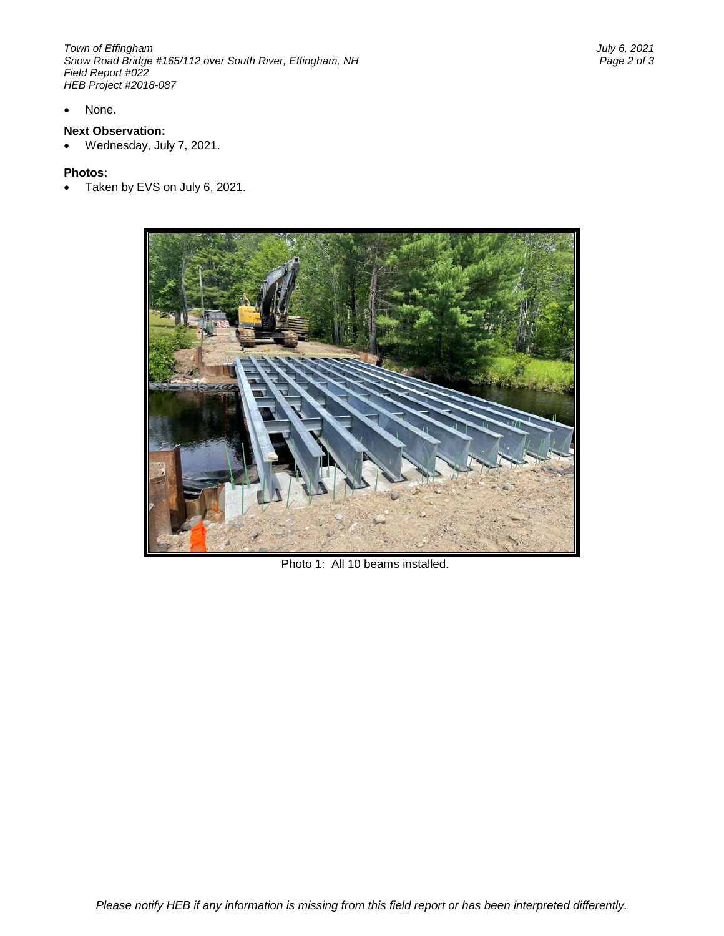*Town of Effingham July 6, 2021 Snow Road Bridge #165/112 over South River, Effingham, NH Field Report #022 HEB Project #2018-087*

None.

# **Next Observation:**

• Wednesday, July 7, 2021.

#### **Photos:**

• Taken by EVS on July 6, 2021.



Photo 1: All 10 beams installed.